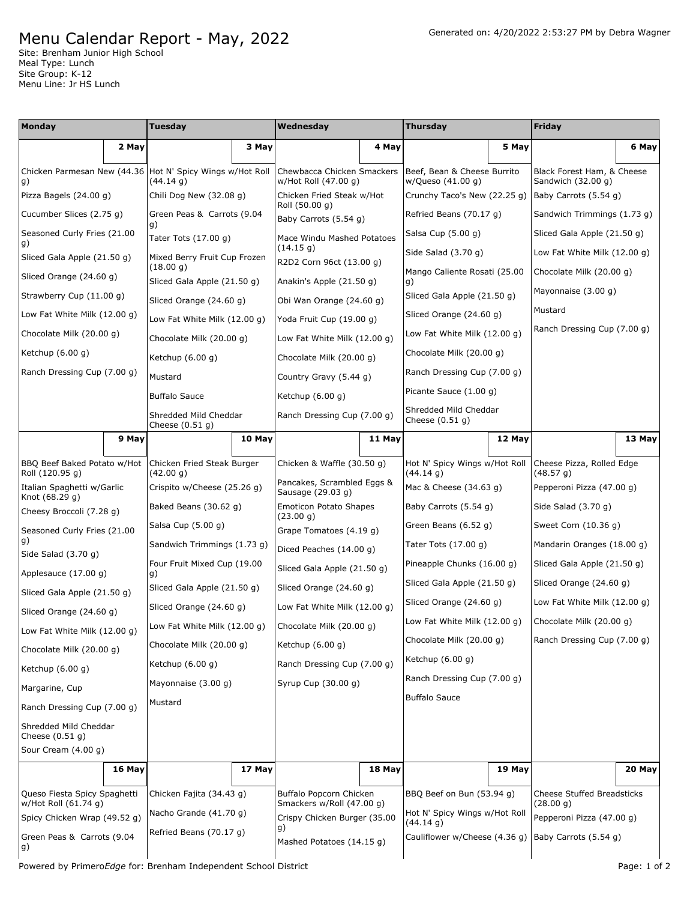## Menu Calendar Report - May, 2022

Site: Brenham Junior High School Meal Type: Lunch Site Group: K-12 Menu Line: Jr HS Lunch

| Monday                                               |        | <b>Tuesday</b>                             |        | Wednesday                                                 |        | <b>Thursday</b>                                  |        | Friday                                           |        |
|------------------------------------------------------|--------|--------------------------------------------|--------|-----------------------------------------------------------|--------|--------------------------------------------------|--------|--------------------------------------------------|--------|
|                                                      | 2 May  |                                            | 3 May  |                                                           | 4 May  |                                                  | 5 May  |                                                  | 6 May  |
| Chicken Parmesan New (44.36)<br>g)                   |        | Hot N' Spicy Wings w/Hot Roll<br>(44.14 g) |        | Chewbacca Chicken Smackers<br>w/Hot Roll (47.00 g)        |        | Beef, Bean & Cheese Burrito<br>w/Queso (41.00 g) |        | Black Forest Ham, & Cheese<br>Sandwich (32.00 g) |        |
| Pizza Bagels (24.00 g)                               |        | Chili Dog New (32.08 g)                    |        | Chicken Fried Steak w/Hot                                 |        | Crunchy Taco's New (22.25 g)                     |        | Baby Carrots (5.54 g)                            |        |
| Cucumber Slices (2.75 g)                             |        | Green Peas & Carrots (9.04                 |        | Roll (50.00 g)<br>Baby Carrots (5.54 g)                   |        | Refried Beans (70.17 g)                          |        | Sandwich Trimmings (1.73 g)                      |        |
| Seasoned Curly Fries (21.00                          |        | q)<br>Tater Tots (17.00 g)                 |        | Mace Windu Mashed Potatoes                                |        | Salsa Cup (5.00 g)                               |        | Sliced Gala Apple (21.50 g)                      |        |
| g)<br>Sliced Gala Apple (21.50 g)                    |        | Mixed Berry Fruit Cup Frozen               |        | (14.15 g)<br>R2D2 Corn 96ct (13.00 g)                     |        | Side Salad (3.70 g)                              |        | Low Fat White Milk (12.00 g)                     |        |
| Sliced Orange (24.60 g)                              |        | (18.00 g)<br>Sliced Gala Apple (21.50 g)   |        | Anakin's Apple (21.50 g)                                  |        | Mango Caliente Rosati (25.00<br>g)               |        | Chocolate Milk (20.00 q)                         |        |
| Strawberry Cup (11.00 g)                             |        | Sliced Orange (24.60 g)                    |        | Obi Wan Orange (24.60 g)                                  |        | Sliced Gala Apple (21.50 g)                      |        | Mayonnaise (3.00 g)                              |        |
| Low Fat White Milk (12.00 g)                         |        | Low Fat White Milk (12.00 g)               |        | Yoda Fruit Cup (19.00 g)                                  |        | Sliced Orange (24.60 g)                          |        | Mustard                                          |        |
| Chocolate Milk (20.00 g)                             |        | Chocolate Milk (20.00 g)                   |        | Low Fat White Milk (12.00 g)                              |        | Low Fat White Milk (12.00 g)                     |        | Ranch Dressing Cup (7.00 g)                      |        |
| Ketchup $(6.00 g)$                                   |        | Ketchup $(6.00 g)$                         |        | Chocolate Milk (20.00 g)                                  |        | Chocolate Milk (20.00 g)                         |        |                                                  |        |
| Ranch Dressing Cup (7.00 g)                          |        | Mustard                                    |        | Country Gravy (5.44 g)                                    |        | Ranch Dressing Cup (7.00 g)                      |        |                                                  |        |
|                                                      |        | <b>Buffalo Sauce</b>                       |        | Ketchup (6.00 g)                                          |        | Picante Sauce (1.00 g)                           |        |                                                  |        |
|                                                      |        | Shredded Mild Cheddar<br>Cheese (0.51 g)   |        | Ranch Dressing Cup (7.00 g)                               |        | Shredded Mild Cheddar<br>Cheese $(0.51 g)$       |        |                                                  |        |
|                                                      | 9 May  |                                            | 10 May |                                                           | 11 May |                                                  | 12 May |                                                  | 13 May |
| BBQ Beef Baked Potato w/Hot<br>Roll (120.95 g)       |        | Chicken Fried Steak Burger<br>(42.00 g)    |        | Chicken & Waffle (30.50 g)                                |        | Hot N' Spicy Wings w/Hot Roll<br>(44.14 g)       |        | Cheese Pizza, Rolled Edge<br>(48.57 g)           |        |
| Italian Spaghetti w/Garlic                           |        | Crispito w/Cheese (25.26 g)                |        | Pancakes, Scrambled Eggs &<br>Sausage (29.03 g)           |        | Mac & Cheese (34.63 g)                           |        | Pepperoni Pizza (47.00 g)                        |        |
| Knot (68.29 g)<br>Cheesy Broccoli (7.28 g)           |        | Baked Beans (30.62 g)                      |        | <b>Emoticon Potato Shapes</b><br>(23.00 g)                |        | Baby Carrots (5.54 g)                            |        | Side Salad (3.70 g)                              |        |
| Seasoned Curly Fries (21.00                          |        | Salsa Cup (5.00 g)                         |        | Grape Tomatoes (4.19 g)                                   |        | Green Beans (6.52 g)                             |        | Sweet Corn (10.36 g)                             |        |
| g)<br>Side Salad (3.70 g)                            |        | Sandwich Trimmings (1.73 g)                |        | Diced Peaches (14.00 g)                                   |        | Tater Tots (17.00 g)                             |        | Mandarin Oranges (18.00 g)                       |        |
| Applesauce (17.00 g)                                 |        | Four Fruit Mixed Cup (19.00<br>g)          |        | Sliced Gala Apple (21.50 g)                               |        | Pineapple Chunks (16.00 g)                       |        | Sliced Gala Apple (21.50 g)                      |        |
| Sliced Gala Apple (21.50 g)                          |        | Sliced Gala Apple (21.50 g)                |        | Sliced Orange (24.60 g)                                   |        | Sliced Gala Apple (21.50 g)                      |        | Sliced Orange (24.60 g)                          |        |
| Sliced Orange (24.60 g)                              |        | Sliced Orange (24.60 g)                    |        | Low Fat White Milk $(12.00 g)$                            |        | Sliced Orange (24.60 g)                          |        | Low Fat White Milk (12.00 g)                     |        |
| Low Fat White Milk (12.00 g)                         |        | Low Fat White Milk (12.00 g)               |        | Chocolate Milk (20.00 g)                                  |        | Low Fat White Milk (12.00 g)                     |        | Chocolate Milk (20.00 g)                         |        |
| Chocolate Milk (20.00 q)                             |        | Chocolate Milk (20.00 q)                   |        | Ketchup $(6.00 g)$                                        |        | Chocolate Milk (20.00 g)                         |        | Ranch Dressing Cup (7.00 g)                      |        |
| Ketchup (6.00 g)                                     |        | Ketchup $(6.00 g)$                         |        | Ranch Dressing Cup (7.00 g)                               |        | Ketchup (6.00 g)                                 |        |                                                  |        |
| Margarine, Cup                                       |        | Mayonnaise (3.00 g)                        |        | Syrup Cup (30.00 q)                                       |        | Ranch Dressing Cup (7.00 g)                      |        |                                                  |        |
| Ranch Dressing Cup (7.00 g)                          |        | Mustard                                    |        |                                                           |        | <b>Buffalo Sauce</b>                             |        |                                                  |        |
| Shredded Mild Cheddar<br>Cheese $(0.51 g)$           |        |                                            |        |                                                           |        |                                                  |        |                                                  |        |
| Sour Cream (4.00 g)                                  |        |                                            |        |                                                           |        |                                                  |        |                                                  |        |
|                                                      | 16 May |                                            | 17 May |                                                           | 18 May |                                                  | 19 May |                                                  | 20 May |
| Queso Fiesta Spicy Spaghetti<br>w/Hot Roll (61.74 g) |        | Chicken Fajita (34.43 g)                   |        | Buffalo Popcorn Chicken                                   |        | BBQ Beef on Bun (53.94 g)                        |        | <b>Cheese Stuffed Breadsticks</b><br>(28.00 g)   |        |
| Spicy Chicken Wrap (49.52 g)                         |        | Nacho Grande (41.70 g)                     |        | Smackers w/Roll (47.00 g)<br>Crispy Chicken Burger (35.00 |        | Hot N' Spicy Wings w/Hot Roll<br>(44.14 g)       |        | Pepperoni Pizza (47.00 g)                        |        |
| Green Peas & Carrots (9.04<br>g)                     |        | Refried Beans (70.17 g)                    |        | g)<br>Mashed Potatoes (14.15 g)                           |        | Cauliflower w/Cheese (4.36 g)                    |        | Baby Carrots (5.54 g)                            |        |

Powered by Primero*Edge* for: Brenham Independent School District **Page: 1** of 2